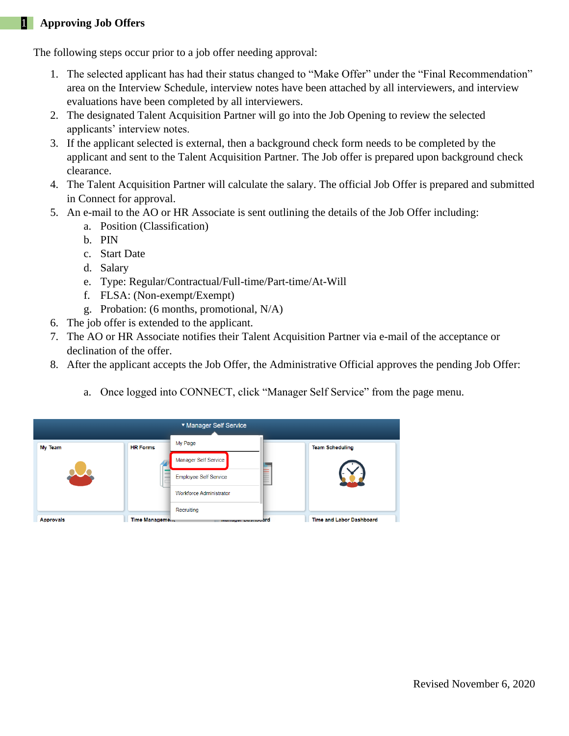## 1 **Approving Job Offers**

The following steps occur prior to a job offer needing approval:

- 1. The selected applicant has had their status changed to "Make Offer" under the "Final Recommendation" area on the Interview Schedule, interview notes have been attached by all interviewers, and interview evaluations have been completed by all interviewers.
- 2. The designated Talent Acquisition Partner will go into the Job Opening to review the selected applicants' interview notes.
- 3. If the applicant selected is external, then a background check form needs to be completed by the applicant and sent to the Talent Acquisition Partner. The Job offer is prepared upon background check clearance.
- 4. The Talent Acquisition Partner will calculate the salary. The official Job Offer is prepared and submitted in Connect for approval.
- 5. An e-mail to the AO or HR Associate is sent outlining the details of the Job Offer including:
	- a. Position (Classification)
		- b. PIN
		- c. Start Date
		- d. Salary
		- e. Type: Regular/Contractual/Full-time/Part-time/At-Will
		- f. FLSA: (Non-exempt/Exempt)
		- g. Probation: (6 months, promotional, N/A)
- 6. The job offer is extended to the applicant.
- 7. The AO or HR Associate notifies their Talent Acquisition Partner via e-mail of the acceptance or declination of the offer.
- 8. After the applicant accepts the Job Offer, the Administrative Official approves the pending Job Offer:
	- a. Once logged into CONNECT, click "Manager Self Service" from the page menu.

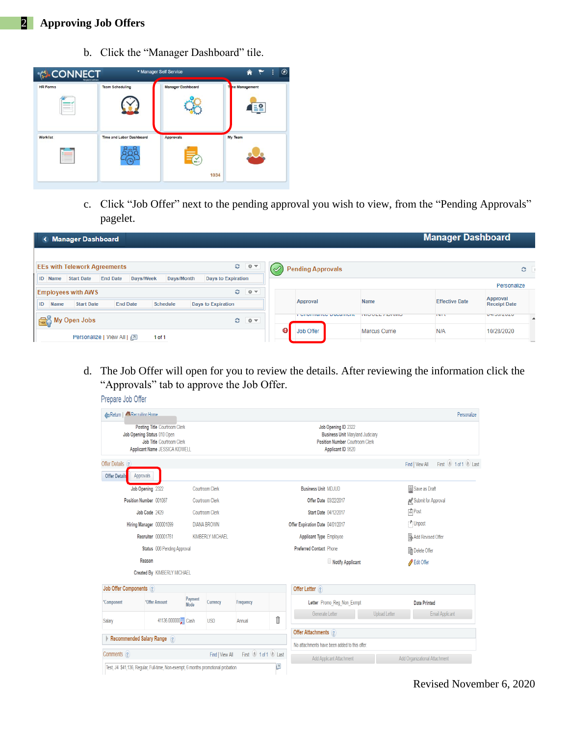## 2 **Approving Job Offers**

b. Click the "Manager Dashboard" tile.



c. Click "Job Offer" next to the pending approval you wish to view, from the "Pending Approvals" pagelet.

| < Manager Dashboard                                                                                            |      |   |                                   |                            | <b>Manager Dashboard</b> |                                  |
|----------------------------------------------------------------------------------------------------------------|------|---|-----------------------------------|----------------------------|--------------------------|----------------------------------|
| O.<br><b>EEs with Telework Agreements</b>                                                                      | ∣⊜ ≂ |   |                                   |                            |                          |                                  |
| <b>End Date</b><br><b>ID</b> Name<br>Days/Week<br>Days/Month<br><b>Days to Expiration</b><br><b>Start Date</b> |      |   | <b>Pending Approvals</b>          |                            |                          | c                                |
| $\circ$<br>■章マ<br><b>Employees with AWS</b>                                                                    |      |   | Approval                          | <b>Name</b>                | <b>Effective Date</b>    | Personalize<br>Approval          |
| ID<br><b>Start Date</b><br><b>End Date</b><br>Schedule<br><b>Days to Expiration</b><br>Name                    |      |   | <b>EVIDENTIATIVE D'UVAITIVITE</b> | <b>INTO VIEW / NOT NER</b> | <b>LINES</b>             | <b>Receipt Date</b><br>UTIVULULU |
| <b>So</b> My Open Jobs<br>$O$ $0 -$                                                                            |      | ❶ | <b>Job Offer</b>                  | <b>Marcus Currie</b>       | N/A                      | ▲<br>10/28/2020                  |
| Personalize   View All   2<br>1 of 1                                                                           |      |   |                                   |                            |                          | <b>COLLEGE</b>                   |

d. The Job Offer will open for you to review the details. After reviewing the information click the "Approvals" tab to approve the Job Offer.Dranara Joh Offer

| <b>AReturn   ARecruiting Home</b>                                                                                                                |                                                                                   |                 |                                                        |                         |                                                                                                                               |                                               |                               | Personalize                          |
|--------------------------------------------------------------------------------------------------------------------------------------------------|-----------------------------------------------------------------------------------|-----------------|--------------------------------------------------------|-------------------------|-------------------------------------------------------------------------------------------------------------------------------|-----------------------------------------------|-------------------------------|--------------------------------------|
| <b>Posting Title Courtroom Clerk</b><br>Job Opening Status 010 Open<br><b>Job Title Courtroom Clerk</b><br><b>Applicant Name JESSICA KIDWELL</b> |                                                                                   |                 |                                                        |                         | Job Opening ID 2322<br><b>Business Unit Maryland Judiciary</b><br><b>Position Number Courtroom Clerk</b><br>Applicant ID 9520 |                                               |                               |                                      |
| Offer Details ?                                                                                                                                  |                                                                                   |                 |                                                        |                         |                                                                                                                               |                                               |                               | First 1 of 1 Last<br>Find   View All |
| <b>Offer Details</b>                                                                                                                             | Approvals                                                                         |                 |                                                        |                         |                                                                                                                               |                                               |                               |                                      |
|                                                                                                                                                  | Job Opening 2322                                                                  |                 | Courtroom Clerk                                        |                         |                                                                                                                               | <b>Business Unit MDJUD</b>                    |                               | Save as Draft                        |
|                                                                                                                                                  | Position Number 001087                                                            |                 | Courtroom Clerk<br>Offer Date 03/22/2017               |                         |                                                                                                                               |                                               |                               | Submit for Approval                  |
|                                                                                                                                                  | Job Code 2429                                                                     |                 | ■Post<br>Courtroom Clerk<br>Start Date 04/12/2017      |                         |                                                                                                                               |                                               |                               |                                      |
|                                                                                                                                                  | Hiring Manager 000001099                                                          |                 | <b>DIANA BROWN</b><br>Offer Expiration Date 04/01/2017 |                         |                                                                                                                               |                                               | "Unpost                       |                                      |
|                                                                                                                                                  | Recruiter 000001751                                                               |                 | <b>KIMBERLY MICHAEL</b>                                |                         |                                                                                                                               | <b>Applicant Type Employee</b>                |                               | Add Revised Offer                    |
| Status 006 Pending Approval                                                                                                                      |                                                                                   |                 |                                                        | Preferred Contact Phone |                                                                                                                               | Delete Offer                                  |                               |                                      |
| Reason                                                                                                                                           |                                                                                   |                 |                                                        | Notify Applicant        |                                                                                                                               | Edit Offer                                    |                               |                                      |
|                                                                                                                                                  | Created By KIMBERLY MICHAEL                                                       |                 |                                                        |                         |                                                                                                                               |                                               |                               |                                      |
| Job Offer Components ?                                                                                                                           |                                                                                   |                 |                                                        |                         |                                                                                                                               | Offer Letter ?                                |                               |                                      |
| *Component                                                                                                                                       | *Offer Amount                                                                     | Payment<br>Mode | Currency                                               | Frequency               |                                                                                                                               | Letter Promo_Reg_Non_Exmpt                    |                               | <b>Date Printed</b>                  |
| Salary                                                                                                                                           | 41136.000000 Cash                                                                 |                 | <b>USD</b>                                             | Annual                  | Î                                                                                                                             | Generate Letter                               | <b>Upload Letter</b>          | Email Applicant                      |
|                                                                                                                                                  |                                                                                   |                 |                                                        |                         |                                                                                                                               | Offer Attachments ?                           |                               |                                      |
|                                                                                                                                                  | Recommended Salary Range (2)                                                      |                 |                                                        |                         |                                                                                                                               | No attachments have been added to this offer. |                               |                                      |
| Comments ?<br>First 1 1 of 1 Last<br>Find   View All                                                                                             |                                                                                   |                 |                                                        |                         | Add Applicant Attachment                                                                                                      |                                               | Add Organizational Attachment |                                      |
|                                                                                                                                                  | Test, J4 \$41,136, Regular, Full-time, Non-exempt, 6 months promotional probation |                 |                                                        |                         | $\overline{a}$                                                                                                                |                                               |                               |                                      |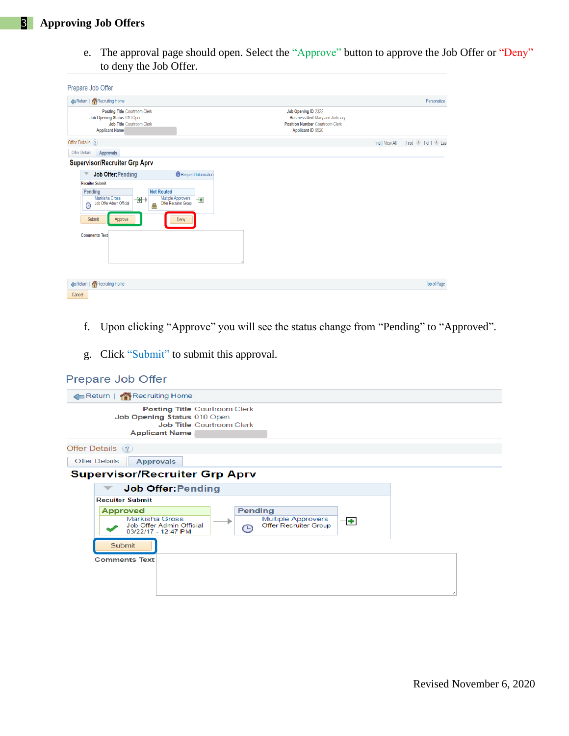e. The approval page should open. Select the "Approve" button to approve the Job Offer or "Deny" to deny the Job Offer.

| Prepare Job Offer                                                                                                                                                                                             |                                    |                                                                                                                               |                 |                  |
|---------------------------------------------------------------------------------------------------------------------------------------------------------------------------------------------------------------|------------------------------------|-------------------------------------------------------------------------------------------------------------------------------|-----------------|------------------|
| Recruiting Home                                                                                                                                                                                               |                                    |                                                                                                                               |                 | Personalize      |
| Posting Title Courtroom Clerk<br>Job Opening Status 010 Open<br>Job Title Courtroom Clerk<br><b>Applicant Name</b>                                                                                            |                                    | Job Opening ID 2322<br><b>Business Unit Maryland Judiciary</b><br><b>Position Number Courtroom Clerk</b><br>Applicant ID 9520 |                 |                  |
| Offer Details ?                                                                                                                                                                                               |                                    |                                                                                                                               | Find   View All | First 1 of 1 Las |
| <b>Offer Details</b><br>Approvals                                                                                                                                                                             |                                    |                                                                                                                               |                 |                  |
| <b>Supervisor/Recruiter Grp Aprv</b>                                                                                                                                                                          |                                    |                                                                                                                               |                 |                  |
| <b>Job Offer: Pending</b>                                                                                                                                                                                     | Request Information                |                                                                                                                               |                 |                  |
| <b>Recuiter Submit</b><br><b>Not Routed</b><br>Pending<br>Markisha Gross<br>Multiple Approvers<br>$\left  + \right $<br>Job Offer Admin Official<br>$\odot$<br>8<br>Submit<br>Approve<br><b>Comments Text</b> | ÷<br>Offer Recruiter Group<br>Deny |                                                                                                                               |                 |                  |
| Recruiting Home<br>Cancel                                                                                                                                                                                     |                                    |                                                                                                                               |                 | Top of Page      |

- f. Upon clicking "Approve" you will see the status change from "Pending" to "Approved".
- g. Click "Submit" to submit this approval.

| Prepare Job Offer                                                                                                                                                       |
|-------------------------------------------------------------------------------------------------------------------------------------------------------------------------|
| Return   Recruiting Home                                                                                                                                                |
| <b>Posting Title Courtroom Clerk</b><br>Job Opening Status 010 Open<br><b>Job Title Courtroom Clerk</b><br><b>Applicant Name</b>                                        |
| Offer Details (?)                                                                                                                                                       |
| <b>Offer Details</b><br><b>Approvals</b>                                                                                                                                |
| <b>Supervisor/Recruiter Grp Aprv</b>                                                                                                                                    |
| <b>Job Offer:Pending</b>                                                                                                                                                |
| <b>Recuiter Submit</b>                                                                                                                                                  |
| <b>Pending</b><br><b>Approved</b><br>Markisha Gross<br><b>Multiple Approvers</b><br>÷<br>Job Offer Admin Official<br>Offer Recruiter Group<br>ᡗᠫ<br>03/22/17 - 12:47 PM |
| Submit<br><b>Comments Text</b>                                                                                                                                          |
|                                                                                                                                                                         |